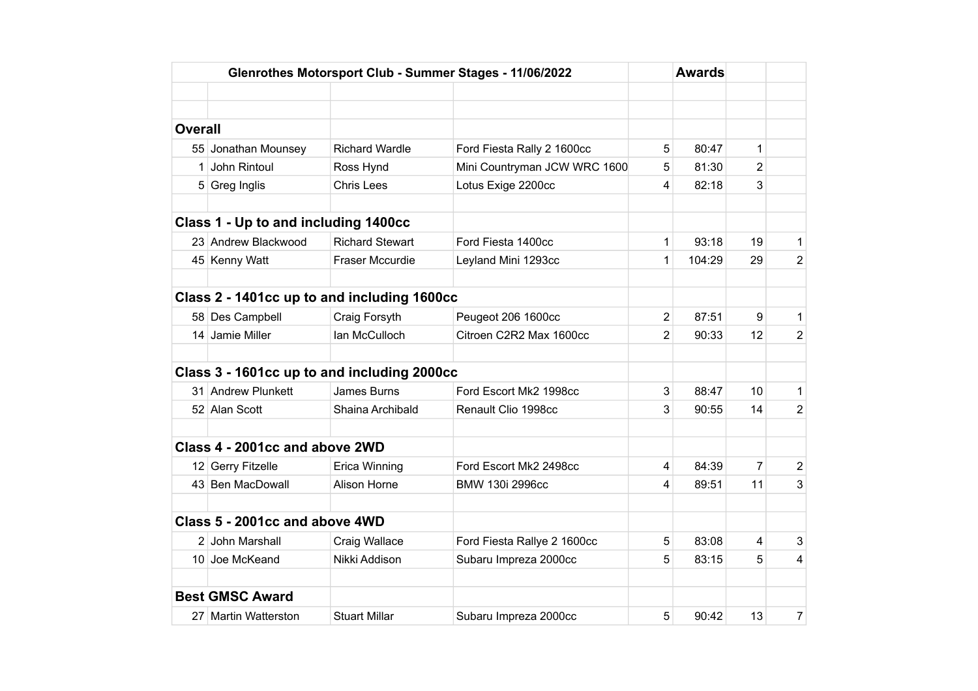|                |                                      | Glenrothes Motorsport Club - Summer Stages - 11/06/2022 |                              |                | <b>Awards</b> |                  |                |
|----------------|--------------------------------------|---------------------------------------------------------|------------------------------|----------------|---------------|------------------|----------------|
|                |                                      |                                                         |                              |                |               |                  |                |
|                |                                      |                                                         |                              |                |               |                  |                |
| <b>Overall</b> |                                      |                                                         |                              |                |               |                  |                |
|                | 55 Jonathan Mounsey                  | <b>Richard Wardle</b>                                   | Ford Fiesta Rally 2 1600cc   | 5              | 80:47         | 1                |                |
|                | 1 John Rintoul                       | Ross Hynd                                               | Mini Countryman JCW WRC 1600 | 5              | 81:30         | $\overline{2}$   |                |
|                | 5 Greg Inglis                        | <b>Chris Lees</b>                                       | Lotus Exige 2200cc           | 4              | 82:18         | 3                |                |
|                |                                      |                                                         |                              |                |               |                  |                |
|                | Class 1 - Up to and including 1400cc |                                                         |                              |                |               |                  |                |
|                | 23 Andrew Blackwood                  | <b>Richard Stewart</b>                                  | Ford Fiesta 1400cc           | 1              | 93:18         | 19               | $\mathbf{1}$   |
|                | 45 Kenny Watt                        | Fraser Mccurdie                                         | Leyland Mini 1293cc          | 1              | 104:29        | 29               | $\overline{2}$ |
|                |                                      |                                                         |                              |                |               |                  |                |
|                |                                      | Class 2 - 1401cc up to and including 1600cc             |                              |                |               |                  |                |
|                | 58 Des Campbell                      | Craig Forsyth                                           | Peugeot 206 1600cc           | $\overline{2}$ | 87:51         | $\boldsymbol{9}$ | $\mathbf{1}$   |
|                | 14 Jamie Miller                      | Ian McCulloch                                           | Citroen C2R2 Max 1600cc      | 2              | 90:33         | 12               | $\overline{2}$ |
|                |                                      |                                                         |                              |                |               |                  |                |
|                |                                      | Class 3 - 1601cc up to and including 2000cc             |                              |                |               |                  |                |
|                | 31 Andrew Plunkett                   | James Burns                                             | Ford Escort Mk2 1998cc       | 3              | 88:47         | 10               | $\mathbf{1}$   |
|                | 52 Alan Scott                        | Shaina Archibald                                        | Renault Clio 1998cc          | 3              | 90:55         | 14               | $\overline{2}$ |
|                |                                      |                                                         |                              |                |               |                  |                |
|                | Class 4 - 2001cc and above 2WD       |                                                         |                              |                |               |                  |                |
|                | 12 Gerry Fitzelle                    | Erica Winning                                           | Ford Escort Mk2 2498cc       | 4              | 84:39         | 7                | $\overline{2}$ |
|                | 43 Ben MacDowall                     | Alison Horne                                            | BMW 130i 2996cc              | 4              | 89:51         | 11               | 3              |
|                |                                      |                                                         |                              |                |               |                  |                |
|                | Class 5 - 2001cc and above 4WD       |                                                         |                              |                |               |                  |                |
|                | 2 John Marshall                      | Craig Wallace                                           | Ford Fiesta Rallye 2 1600cc  | 5              | 83:08         | 4                | 3              |
|                | 10 Joe McKeand                       | Nikki Addison                                           | Subaru Impreza 2000cc        | 5              | 83:15         | 5                | $\overline{4}$ |
|                |                                      |                                                         |                              |                |               |                  |                |
|                | <b>Best GMSC Award</b>               |                                                         |                              |                |               |                  |                |
|                | 27 Martin Watterston                 | <b>Stuart Millar</b>                                    | Subaru Impreza 2000cc        | 5              | 90:42         | 13               | $\overline{7}$ |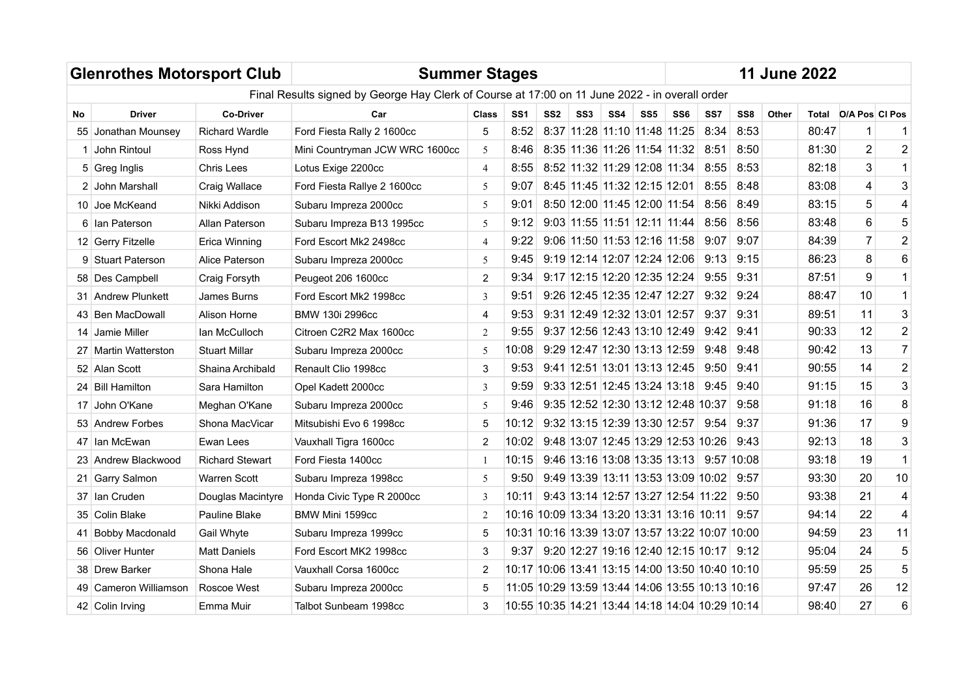|     | <b>Glenrothes Motorsport Club</b> |                        | <b>Summer Stages</b>                                                                           |                |                 |                 |                 |                              |                 |                                                 |            |      |       | <b>11 June 2022</b> |                         |                         |
|-----|-----------------------------------|------------------------|------------------------------------------------------------------------------------------------|----------------|-----------------|-----------------|-----------------|------------------------------|-----------------|-------------------------------------------------|------------|------|-------|---------------------|-------------------------|-------------------------|
|     |                                   |                        | Final Results signed by George Hay Clerk of Course at 17:00 on 11 June 2022 - in overall order |                |                 |                 |                 |                              |                 |                                                 |            |      |       |                     |                         |                         |
| No  | <b>Driver</b>                     | <b>Co-Driver</b>       | Car                                                                                            | Class          | SS <sub>1</sub> | SS <sub>2</sub> | SS <sub>3</sub> | SS4                          | SS <sub>5</sub> | SS6                                             | SS7        | SS8  | Other | Total               | <b>DIA Pos CI Pos</b>   |                         |
| 55  | Jonathan Mounsey                  | <b>Richard Wardle</b>  | Ford Fiesta Rally 2 1600cc                                                                     | 5              | 8:52            |                 |                 | 8:37 11:28 11:10 11:48 11:25 |                 |                                                 | 8:34       | 8:53 |       | 80:47               | 1                       |                         |
|     | John Rintoul                      | Ross Hynd              | Mini Countryman JCW WRC 1600cc                                                                 | 5              | 8:46            |                 |                 |                              |                 | 8:35 11:36 11:26 11:54 11:32                    | 8:51       | 8:50 |       | 81:30               | $\overline{2}$          | $\overline{2}$          |
|     | 5 Greg Inglis                     | <b>Chris Lees</b>      | Lotus Exige 2200cc                                                                             | $\overline{4}$ | 8:55            |                 |                 |                              |                 | 8:52 11:32 11:29 12:08 11:34                    | 8:55       | 8:53 |       | 82:18               | 3                       | $\mathbf{1}$            |
|     | 2 John Marshall                   | Craig Wallace          | Ford Fiesta Rallye 2 1600cc                                                                    | 5              | 9:07            |                 |                 |                              |                 | 8:45 11:45 11:32 12:15 12:01                    | 8:55       | 8:48 |       | 83:08               | $\overline{\mathbf{4}}$ | 3                       |
|     | 10 Joe McKeand                    | Nikki Addison          | Subaru Impreza 2000cc                                                                          | 5              | 9:01            |                 |                 |                              |                 | 8:50 12:00 11:45 12:00 11:54                    | 8:56       | 8:49 |       | 83:15               | 5                       | 4                       |
|     | 6 Ian Paterson                    | Allan Paterson         | Subaru Impreza B13 1995cc                                                                      | 5              | 9:12            |                 |                 |                              |                 | 9:03 11:55 11:51 12:11 11:44                    | 8:56       | 8:56 |       | 83:48               | 6                       | 5                       |
|     | 12 Gerry Fitzelle                 | Erica Winning          | Ford Escort Mk2 2498cc                                                                         | $\overline{4}$ | 9:22            |                 |                 |                              |                 | $9:06$ 11:50 11:53 12:16 11:58                  | 9:07       | 9:07 |       | 84:39               | $\overline{7}$          | $\overline{2}$          |
|     | 9 Stuart Paterson                 | Alice Paterson         | Subaru Impreza 2000cc                                                                          | 5              | 9:45            |                 |                 | 9:19 12:14 12:07 12:24 12:06 |                 |                                                 | 9:13       | 9:15 |       | 86:23               | 8                       | $6\phantom{1}$          |
|     | 58 Des Campbell                   | Craig Forsyth          | Peugeot 206 1600cc                                                                             | $\overline{2}$ | 9:34            |                 |                 |                              |                 | 9:17 12:15 12:20 12:35 12:24                    | 9:55       | 9:31 |       | 87:51               | 9                       | $\mathbf{1}$            |
|     | 31 Andrew Plunkett                | James Burns            | Ford Escort Mk2 1998cc                                                                         | 3              | 9:51            |                 |                 |                              |                 | $9:26$ 12:45 12:35 12:47 12:27                  | 9:32       | 9:24 |       | 88:47               | 10                      | $\mathbf{1}$            |
|     | 43 Ben MacDowall                  | Alison Horne           | BMW 130i 2996cc                                                                                | 4              | 9:53            |                 |                 |                              |                 | 9:31 12:49 12:32 13:01 12:57                    | 9:37       | 9:31 |       | 89:51               | 11                      | $\mathbf{3}$            |
|     | 14 Jamie Miller                   | lan McCulloch          | Citroen C2R2 Max 1600cc                                                                        | $\overline{2}$ | 9:55            |                 |                 |                              |                 | 9:37 12:56 12:43 13:10 12:49                    | 9:42       | 9:41 |       | 90:33               | 12                      | $\overline{2}$          |
|     | 27 Martin Watterston              | <b>Stuart Millar</b>   | Subaru Impreza 2000cc                                                                          | 5              | 10:08           |                 |                 |                              |                 | 9:29 12:47 12:30 13:13 12:59                    | 9:48       | 9:48 |       | 90:42               | 13                      | $\overline{7}$          |
|     | 52 Alan Scott                     | Shaina Archibald       | Renault Clio 1998cc                                                                            | 3              | 9:53            |                 |                 |                              |                 | 9:41 12:51 13:01 13:13 12:45                    | 9:50       | 9:41 |       | 90:55               | 14                      | $\mathbf 2$             |
|     | 24 Bill Hamilton                  | Sara Hamilton          | Opel Kadett 2000cc                                                                             | 3              | 9:59            |                 |                 |                              |                 | 9:33 12:51 12:45 13:24 13:18                    | 9:45       | 9:40 |       | 91:15               | 15                      | 3                       |
|     | 17 John O'Kane                    | Meghan O'Kane          | Subaru Impreza 2000cc                                                                          | 5              | 9:46            |                 |                 |                              |                 | 9:35 12:52 12:30 13:12 12:48 10:37              |            | 9:58 |       | 91:18               | 16                      | 8                       |
|     | 53 Andrew Forbes                  | Shona MacVicar         | Mitsubishi Evo 6 1998cc                                                                        | 5              | 10:12           |                 |                 |                              |                 | 9:32 13:15 12:39 13:30 12:57                    | 9:54       | 9:37 |       | 91:36               | 17                      | 9                       |
|     | 47 Ian McEwan                     | Ewan Lees              | Vauxhall Tigra 1600cc                                                                          | $\overline{2}$ | 10:02           |                 |                 |                              |                 | 9:48 13:07 12:45 13:29 12:53 10:26 9:43         |            |      |       | 92:13               | 18                      | 3                       |
|     | 23 Andrew Blackwood               | <b>Richard Stewart</b> | Ford Fiesta 1400cc                                                                             | 1              | 10:15           |                 |                 |                              |                 | 9:46 13:16 13:08 13:35 13:13                    | 9:57 10:08 |      |       | 93:18               | 19                      | $\mathbf{1}$            |
|     | 21 Garry Salmon                   | Warren Scott           | Subaru Impreza 1998cc                                                                          | 5              | 9:50            |                 |                 |                              |                 | 9:49 13:39 13:11 13:53 13:09 10:02 9:57         |            |      |       | 93:30               | 20                      | 10                      |
|     | 37 Ian Cruden                     | Douglas Macintyre      | Honda Civic Type R 2000cc                                                                      | 3              | 10:11           |                 |                 |                              |                 | 9:43 13:14 12:57 13:27 12:54 11:22              |            | 9:50 |       | 93:38               | 21                      | $\overline{\mathbf{4}}$ |
|     | 35 Colin Blake                    | Pauline Blake          | BMW Mini 1599cc                                                                                | 2              |                 |                 |                 |                              |                 | 10:16 10:09 13:34 13:20 13:31 13:16 10:11       |            | 9:57 |       | 94:14               | 22                      | $\overline{\mathbf{4}}$ |
| 41  | Bobby Macdonald                   | Gail Whyte             | Subaru Impreza 1999cc                                                                          | 5              |                 |                 |                 |                              |                 | 10:31 10:16 13:39 13:07 13:57 13:22 10:07 10:00 |            |      |       | 94:59               | 23                      | 11                      |
| 56. | <b>Oliver Hunter</b>              | <b>Matt Daniels</b>    | Ford Escort MK2 1998cc                                                                         | 3              | 9:37            |                 |                 |                              |                 | 9:20 12:27 19:16 12:40 12:15 10:17 9:12         |            |      |       | 95:04               | 24                      | 5                       |
|     | 38 Drew Barker                    | Shona Hale             | Vauxhall Corsa 1600cc                                                                          | $\overline{2}$ |                 |                 |                 |                              |                 | 10:17 10:06 13:41 13:15 14:00 13:50 10:40 10:10 |            |      |       | 95:59               | 25                      | 5                       |
| 49  | Cameron Williamson                | Roscoe West            | Subaru Impreza 2000cc                                                                          | 5              |                 |                 |                 |                              |                 | 11:05 10:29 13:59 13:44 14:06 13:55 10:13 10:16 |            |      |       | 97:47               | 26                      | 12                      |
|     | 42 Colin Irving                   | Emma Muir              | Talbot Sunbeam 1998cc                                                                          | 3              |                 |                 |                 |                              |                 | 10:55 10:35 14:21 13:44 14:18 14:04 10:29 10:14 |            |      |       | 98:40               | 27                      | 6                       |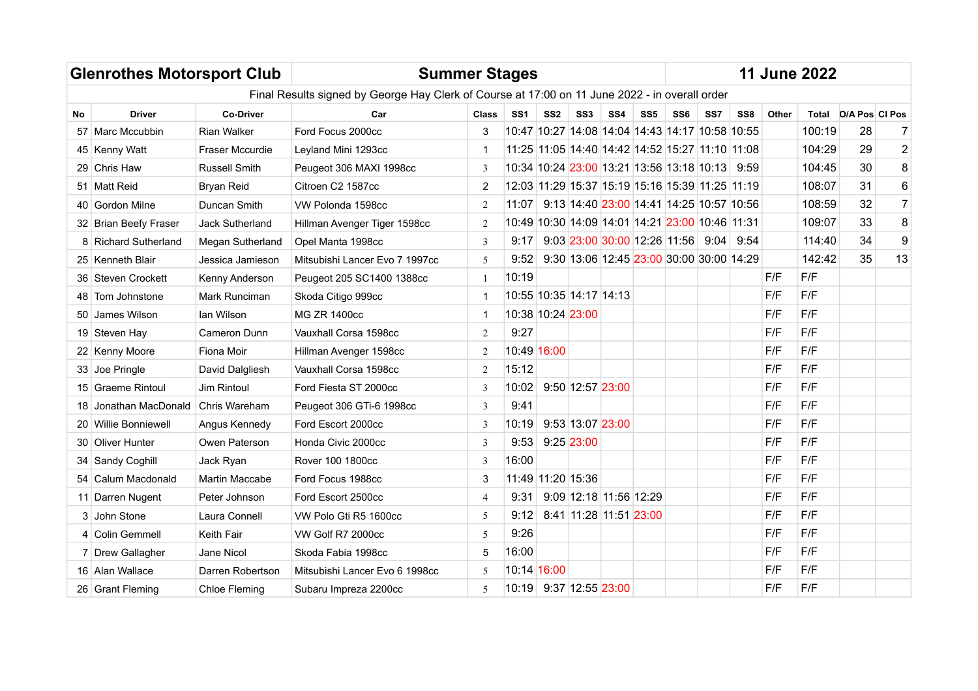|           | <b>Glenrothes Motorsport Club</b> |                      |                                                                                                |                |                   |                 |                         |                 |                 | <b>11 June 2022</b>                             |     |     |       |        |                      |                  |
|-----------|-----------------------------------|----------------------|------------------------------------------------------------------------------------------------|----------------|-------------------|-----------------|-------------------------|-----------------|-----------------|-------------------------------------------------|-----|-----|-------|--------|----------------------|------------------|
|           |                                   |                      | Final Results signed by George Hay Clerk of Course at 17:00 on 11 June 2022 - in overall order |                |                   |                 |                         |                 |                 |                                                 |     |     |       |        |                      |                  |
| <b>No</b> | <b>Driver</b>                     | <b>Co-Driver</b>     | Car                                                                                            | <b>Class</b>   | SS <sub>1</sub>   | SS <sub>2</sub> | SS <sub>3</sub>         | SS <sub>4</sub> | SS <sub>5</sub> | SS <sub>6</sub>                                 | SS7 | SS8 | Other |        | Total D/A Pos CI Pos |                  |
|           | 57 Marc Mccubbin                  | <b>Rian Walker</b>   | Ford Focus 2000cc                                                                              | 3              |                   |                 |                         |                 |                 | 10:47 10:27 14:08 14:04 14:43 14:17 10:58 10:55 |     |     |       | 100:19 | 28                   | 7                |
|           | 45 Kenny Watt                     | Fraser Mccurdie      | Leyland Mini 1293cc                                                                            | 1              |                   |                 |                         |                 |                 | 11:25 11:05 14:40 14:42 14:52 15:27 11:10 11:08 |     |     |       | 104:29 | 29                   | $\overline{2}$   |
|           | 29 Chris Haw                      | <b>Russell Smith</b> | Peugeot 306 MAXI 1998cc                                                                        | 3              |                   |                 |                         |                 |                 | 10:34 10:24 23:00 13:21 13:56 13:18 10:13 9:59  |     |     |       | 104:45 | 30                   | $\bf8$           |
|           | 51 Matt Reid                      | Bryan Reid           | Citroen C2 1587cc                                                                              | $\overline{2}$ |                   |                 |                         |                 |                 | 12:03 11:29 15:37 15:19 15:16 15:39 11:25 11:19 |     |     |       | 108:07 | 31                   | $\,6$            |
|           | 40 Gordon Milne                   | Duncan Smith         | VW Polonda 1598cc                                                                              | 2              | 11:07             |                 |                         |                 |                 | 9:13 14:40 23:00 14:41 14:25 10:57 10:56        |     |     |       | 108:59 | 32                   | $\overline{7}$   |
|           | 32 Brian Beefy Fraser             | Jack Sutherland      | Hillman Avenger Tiger 1598cc                                                                   | 2              |                   |                 |                         |                 |                 | 10:49 10:30 14:09 14:01 14:21 23:00 10:46 11:31 |     |     |       | 109:07 | 33                   | $\, 8$           |
|           | 8 Richard Sutherland              | Megan Sutherland     | Opel Manta 1998cc                                                                              | 3              | 9:17              |                 |                         |                 |                 | $9:03$ 23:00 30:00 12:26 11:56 9:04 9:54        |     |     |       | 114:40 | 34                   | $\boldsymbol{9}$ |
|           | 25 Kenneth Blair                  | Jessica Jamieson     | Mitsubishi Lancer Evo 7 1997cc                                                                 | 5              | 9:52              |                 |                         |                 |                 | 9:30 13:06 12:45 23:00 30:00 30:00 14:29        |     |     |       | 142:42 | 35                   | 13               |
|           | 36 Steven Crockett                | Kenny Anderson       | Peugeot 205 SC1400 1388cc                                                                      | 1              | 10:19             |                 |                         |                 |                 |                                                 |     |     | F/F   | F/F    |                      |                  |
|           | 48 Tom Johnstone                  | Mark Runciman        | Skoda Citigo 999cc                                                                             | $\mathbf{1}$   |                   |                 | 10:55 10:35 14:17 14:13 |                 |                 |                                                 |     |     | F/F   | F/F    |                      |                  |
|           | 50 James Wilson                   | lan Wilson           | <b>MG ZR 1400cc</b>                                                                            | 1              | 10:38 10:24 23:00 |                 |                         |                 |                 |                                                 |     |     | F/F   | F/F    |                      |                  |
|           | 19 Steven Hay                     | Cameron Dunn         | Vauxhall Corsa 1598cc                                                                          | $\overline{2}$ | 9:27              |                 |                         |                 |                 |                                                 |     |     | F/F   | F/F    |                      |                  |
|           | 22 Kenny Moore                    | Fiona Moir           | Hillman Avenger 1598cc                                                                         | $\overline{2}$ | 10:49 16:00       |                 |                         |                 |                 |                                                 |     |     | F/F   | F/F    |                      |                  |
|           | 33 Joe Pringle                    | David Dalgliesh      | Vauxhall Corsa 1598cc                                                                          | $\overline{2}$ | 15:12             |                 |                         |                 |                 |                                                 |     |     | F/F   | F/F    |                      |                  |
|           | 15 Graeme Rintoul                 | <b>Jim Rintoul</b>   | Ford Fiesta ST 2000cc                                                                          | 3              | 10:02             |                 | 9:50 12:57 23:00        |                 |                 |                                                 |     |     | F/F   | F/F    |                      |                  |
| 18        | Jonathan MacDonald                | Chris Wareham        | Peugeot 306 GTi-6 1998cc                                                                       | 3              | 9:41              |                 |                         |                 |                 |                                                 |     |     | F/F   | F/F    |                      |                  |
|           | 20 Willie Bonniewell              | Angus Kennedy        | Ford Escort 2000cc                                                                             | 3              | 10:19             |                 | 9:53 13:07 23:00        |                 |                 |                                                 |     |     | F/F   | F/F    |                      |                  |
|           | 30 Oliver Hunter                  | Owen Paterson        | Honda Civic 2000cc                                                                             | 3              | 9:53              |                 | 9:25 23:00              |                 |                 |                                                 |     |     | F/F   | F/F    |                      |                  |
|           | 34 Sandy Coghill                  | Jack Ryan            | Rover 100 1800cc                                                                               | $\overline{3}$ | 16:00             |                 |                         |                 |                 |                                                 |     |     | F/F   | F/F    |                      |                  |
|           | 54 Calum Macdonald                | Martin Maccabe       | Ford Focus 1988cc                                                                              | 3              |                   |                 | 11:49 11:20 15:36       |                 |                 |                                                 |     |     | F/F   | F/F    |                      |                  |
|           | 11 Darren Nugent                  | Peter Johnson        | Ford Escort 2500cc                                                                             | 4              | 9:31              |                 | 9:09 12:18 11:56 12:29  |                 |                 |                                                 |     |     | F/F   | F/F    |                      |                  |
|           | 3 John Stone                      | Laura Connell        | VW Polo Gti R5 1600cc                                                                          | 5              | 9:12              |                 | 8:41 11:28 11:51 23:00  |                 |                 |                                                 |     |     | F/F   | F/F    |                      |                  |
|           | 4 Colin Gemmell                   | Keith Fair           | 9:26<br>5<br>VW Golf R7 2000cc                                                                 |                |                   |                 |                         |                 |                 |                                                 |     |     | F/F   | F/F    |                      |                  |
|           | 7 Drew Gallagher                  | Jane Nicol           | Skoda Fabia 1998cc                                                                             | 5              | 16:00             |                 |                         |                 |                 |                                                 |     |     | F/F   | F/F    |                      |                  |
|           | 16 Alan Wallace                   | Darren Robertson     | Mitsubishi Lancer Evo 6 1998cc                                                                 | 5              | 10:14 16:00       |                 |                         |                 |                 |                                                 |     |     | F/F   | F/F    |                      |                  |
|           | 26 Grant Fleming                  | Chloe Fleming        | Subaru Impreza 2200cc                                                                          | 5              |                   |                 | 10:19 9:37 12:55 23:00  |                 |                 |                                                 |     |     | F/F   | F/F    |                      |                  |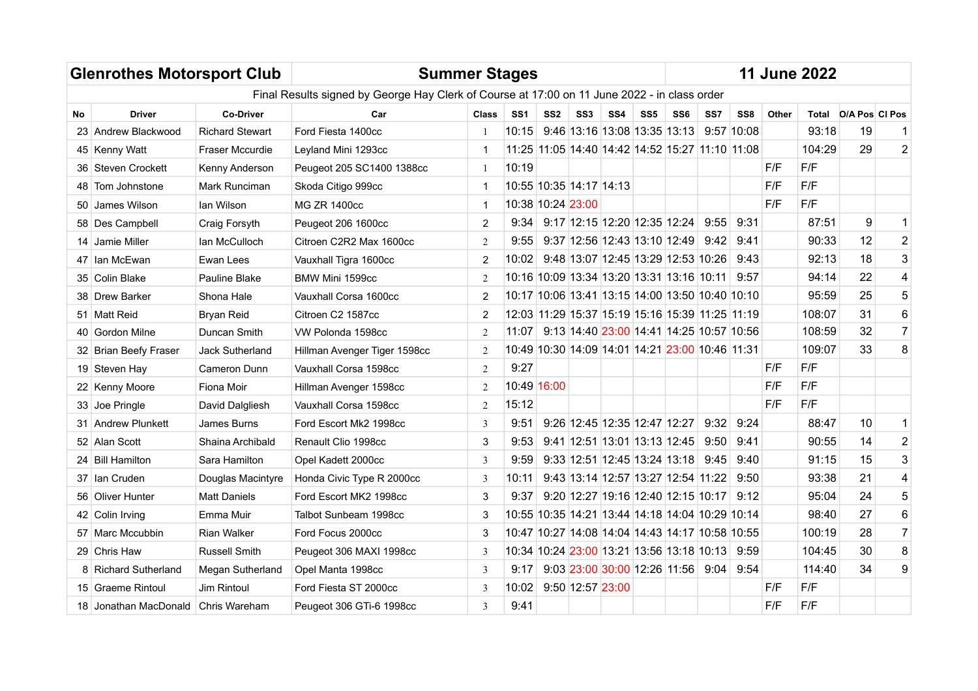| <b>Glenrothes Motorsport Club</b><br><b>Summer Stages</b> |                                     |                        |                                                                                              |                |                 |                   |                         |                                                 |                 |     |      |            |       | <b>11 June 2022</b> |                       |                |
|-----------------------------------------------------------|-------------------------------------|------------------------|----------------------------------------------------------------------------------------------|----------------|-----------------|-------------------|-------------------------|-------------------------------------------------|-----------------|-----|------|------------|-------|---------------------|-----------------------|----------------|
|                                                           |                                     |                        | Final Results signed by George Hay Clerk of Course at 17:00 on 11 June 2022 - in class order |                |                 |                   |                         |                                                 |                 |     |      |            |       |                     |                       |                |
| No                                                        | <b>Driver</b>                       | <b>Co-Driver</b>       | Car                                                                                          | <b>Class</b>   | SS <sub>1</sub> | SS <sub>2</sub>   | SS <sub>3</sub>         | SS4                                             | SS <sub>5</sub> | SS6 | SS7  | SS8        | Other | Total               | <b>O/A Pos CI Pos</b> |                |
|                                                           | 23 Andrew Blackwood                 | <b>Richard Stewart</b> | Ford Fiesta 1400cc                                                                           |                | 10:15           |                   |                         | 9:46 13:16 13:08 13:35 13:13                    |                 |     |      | 9:57 10:08 |       | 93:18               | 19                    |                |
|                                                           | 45 Kenny Watt                       | Fraser Mccurdie        | Leyland Mini 1293cc                                                                          |                |                 |                   |                         | 11:25 11:05 14:40 14:42 14:52 15:27 11:10 11:08 |                 |     |      |            |       | 104:29              | 29                    | $\overline{2}$ |
|                                                           | 36 Steven Crockett                  | Kenny Anderson         | Peugeot 205 SC1400 1388cc                                                                    | -1             | 10:19           |                   |                         |                                                 |                 |     |      |            | F/F   | F/F                 |                       |                |
| 48                                                        | Tom Johnstone                       | Mark Runciman          | Skoda Citigo 999cc                                                                           |                |                 |                   | 10:55 10:35 14:17 14:13 |                                                 |                 |     |      |            | F/F   | F/F                 |                       |                |
|                                                           | 50 James Wilson                     | lan Wilson             | <b>MG ZR 1400cc</b>                                                                          | -1             |                 | 10:38 10:24 23:00 |                         |                                                 |                 |     |      |            | F/F   | F/F                 |                       |                |
|                                                           | 58 Des Campbell                     | Craig Forsyth          | Peugeot 206 1600cc                                                                           | $\overline{2}$ | 9:34            |                   |                         | 9:17 12:15 12:20 12:35 12:24                    |                 |     | 9:55 | 9:31       |       | 87:51               | 9                     | $\mathbf{1}$   |
|                                                           | 14 Jamie Miller                     | lan McCulloch          | Citroen C2R2 Max 1600cc                                                                      | 2              | 9:55            |                   |                         | 9:37 12:56 12:43 13:10 12:49                    |                 |     | 9:42 | 9:41       |       | 90:33               | 12                    | $\sqrt{2}$     |
|                                                           | 47 Ian McEwan                       | Ewan Lees              | Vauxhall Tigra 1600cc                                                                        | $\overline{2}$ | 10:02           |                   |                         | 9:48 13:07 12:45 13:29 12:53 10:26              |                 |     |      | 9:43       |       | 92:13               | 18                    | 3              |
|                                                           | 35   Colin Blake                    | Pauline Blake          | BMW Mini 1599cc                                                                              | 2              |                 |                   |                         | 10:16 10:09 13:34 13:20 13:31 13:16 10:11 9:57  |                 |     |      |            |       | 94:14               | 22                    | $\overline{4}$ |
|                                                           | 38 Drew Barker                      | Shona Hale             | Vauxhall Corsa 1600cc                                                                        | $\overline{2}$ |                 |                   |                         | 10:17 10:06 13:41 13:15 14:00 13:50 10:40 10:10 |                 |     |      |            |       | 95:59               | 25                    | 5              |
|                                                           | 51   Matt Reid                      | Bryan Reid             | Citroen C2 1587cc                                                                            | 2              |                 |                   |                         | 12:03 11:29 15:37 15:19 15:16 15:39 11:25 11:19 |                 |     |      |            |       | 108:07              | 31                    | 6              |
|                                                           | 40 Gordon Milne                     | Duncan Smith           | VW Polonda 1598cc                                                                            | 2              |                 |                   |                         | 11:07 9:13 14:40 23:00 14:41 14:25 10:57 10:56  |                 |     |      |            |       | 108:59              | 32                    | $\overline{7}$ |
|                                                           | 32 Brian Beefy Fraser               | <b>Jack Sutherland</b> | Hillman Avenger Tiger 1598cc                                                                 | 2              |                 |                   |                         | 10:49 10:30 14:09 14:01 14:21 23:00 10:46 11:31 |                 |     |      |            |       | 109:07              | 33                    | 8              |
|                                                           | 19 Steven Hay                       | Cameron Dunn           | Vauxhall Corsa 1598cc                                                                        | 2              | 9:27            |                   |                         |                                                 |                 |     |      |            | F/F   | F/F                 |                       |                |
|                                                           | 22 Kenny Moore                      | Fiona Moir             | Hillman Avenger 1598cc                                                                       | 2              | 10:49 16:00     |                   |                         |                                                 |                 |     |      |            | F/F   | F/F                 |                       |                |
|                                                           | 33 Joe Pringle                      | David Dalgliesh        | Vauxhall Corsa 1598cc                                                                        | 2              | 15:12           |                   |                         |                                                 |                 |     |      |            | F/F   | F/F                 |                       |                |
|                                                           | 31 Andrew Plunkett                  | James Burns            | Ford Escort Mk2 1998cc                                                                       | $\overline{3}$ | 9:51            |                   |                         | 9:26 12:45 12:35 12:47 12:27                    |                 |     | 9:32 | 9:24       |       | 88:47               | 10                    | $\mathbf{1}$   |
|                                                           | 52 Alan Scott                       | Shaina Archibald       | Renault Clio 1998cc                                                                          | 3              | 9:53            |                   |                         | 9:41 12:51 13:01 13:13 12:45                    |                 |     | 9:50 | 9:41       |       | 90:55               | 14                    | $\mathbf 2$    |
|                                                           | 24   Bill Hamilton                  | Sara Hamilton          | Opel Kadett 2000cc                                                                           | 3              | 9:59            |                   |                         | 9:33 12:51 12:45 13:24 13:18                    |                 |     | 9:45 | 9:40       |       | 91:15               | 15                    | 3              |
|                                                           | 37 Ian Cruden                       | Douglas Macintyre      | Honda Civic Type R 2000cc                                                                    | 3              | 10:11           |                   |                         | 9:43 13:14 12:57 13:27 12:54 11:22              |                 |     |      | 9:50       |       | 93:38               | 21                    | $\overline{4}$ |
|                                                           | 56 Oliver Hunter                    | <b>Matt Daniels</b>    | Ford Escort MK2 1998cc                                                                       | 3              | 9:37            |                   |                         | 9:20 12:27 19:16 12:40 12:15 10:17              |                 |     |      | 9:12       |       | 95:04               | 24                    | 5              |
|                                                           | 42 Colin Irving                     | Emma Muir              | Talbot Sunbeam 1998cc                                                                        | 3              |                 |                   |                         | 10:55 10:35 14:21 13:44 14:18 14:04 10:29 10:14 |                 |     |      |            |       | 98:40               | 27                    | 6              |
|                                                           | 57   Marc Mccubbin                  | <b>Rian Walker</b>     | Ford Focus 2000cc                                                                            | 3              |                 |                   |                         | 10:47 10:27 14:08 14:04 14:43 14:17 10:58 10:55 |                 |     |      |            |       | 100:19              | 28                    | $\overline{7}$ |
|                                                           | 29 Chris Haw                        | Russell Smith          | Peugeot 306 MAXI 1998cc                                                                      | 3              |                 |                   |                         | 10:34 10:24 23:00 13:21 13:56 13:18 10:13       |                 |     |      | 9:59       |       | 104:45              | 30                    | $\, 8$         |
|                                                           | 8 Richard Sutherland                | Megan Sutherland       | Opel Manta 1998cc                                                                            | 3              | 9:17            |                   |                         | $9:03$ 23:00 30:00 12:26 11:56 9:04             |                 |     |      | 9:54       |       | 114:40              | 34                    | 9              |
|                                                           | 15 Graeme Rintoul                   | <b>Jim Rintoul</b>     | Ford Fiesta ST 2000cc                                                                        | 3              | 10:02           |                   | 9:50 12:57 23:00        |                                                 |                 |     |      |            | F/F   | F/F                 |                       |                |
|                                                           | 18 Jonathan MacDonald Chris Wareham |                        | Peugeot 306 GTi-6 1998cc                                                                     | 3              | 9:41            |                   |                         |                                                 |                 |     |      |            | F/F   | F/F                 |                       |                |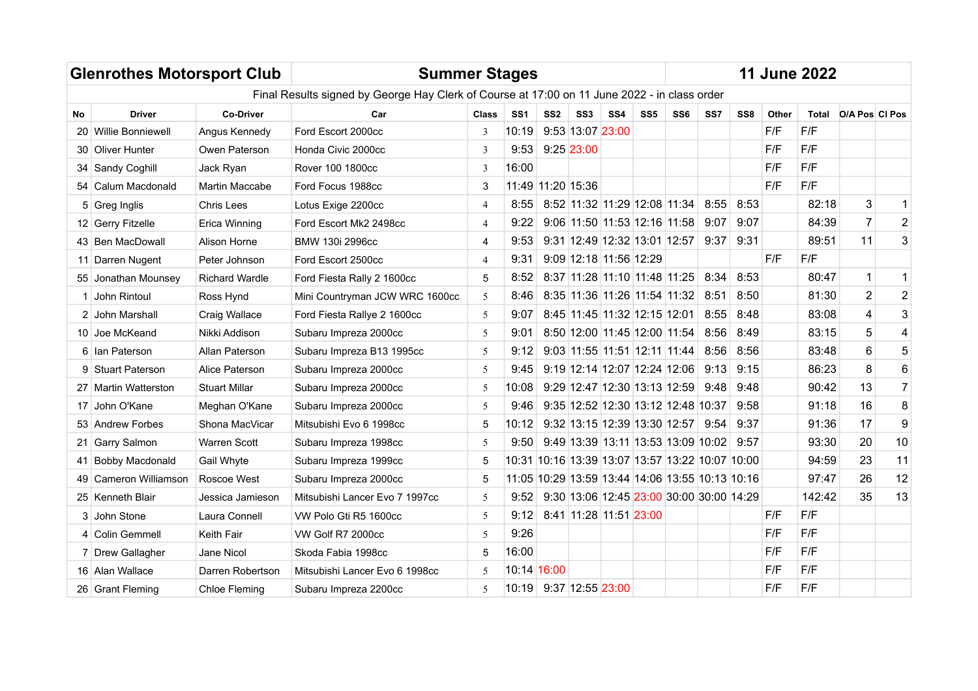|                 | <b>Glenrothes Motorsport Club</b> |                       | <b>Summer Stages</b>                                                                         |                        |                                                 |                 |                  |                                    |                 |                 |                                          |                 |       | <b>11 June 2022</b> |                      |                         |
|-----------------|-----------------------------------|-----------------------|----------------------------------------------------------------------------------------------|------------------------|-------------------------------------------------|-----------------|------------------|------------------------------------|-----------------|-----------------|------------------------------------------|-----------------|-------|---------------------|----------------------|-------------------------|
|                 |                                   |                       | Final Results signed by George Hay Clerk of Course at 17:00 on 11 June 2022 - in class order |                        |                                                 |                 |                  |                                    |                 |                 |                                          |                 |       |                     |                      |                         |
| <b>No</b>       | <b>Driver</b>                     | <b>Co-Driver</b>      | Car                                                                                          | <b>Class</b>           | SS <sub>1</sub>                                 | SS <sub>2</sub> | SS <sub>3</sub>  | SS <sub>4</sub>                    | SS <sub>5</sub> | SS <sub>6</sub> | SS7                                      | SS <sub>8</sub> | Other |                     | Total D/A Pos CI Pos |                         |
| 20              | <b>Willie Bonniewell</b>          | Angus Kennedy         | Ford Escort 2000cc                                                                           | 3                      | 10:19                                           |                 | 9:53 13:07 23:00 |                                    |                 |                 |                                          |                 | F/F   | F/F                 |                      |                         |
|                 | 30 Oliver Hunter                  | Owen Paterson         | Honda Civic 2000cc                                                                           | 3                      | 9:53                                            |                 | 9:25 23:00       |                                    |                 |                 |                                          |                 | F/F   | F/F                 |                      |                         |
| 34              | Sandy Coghill                     | Jack Ryan             | Rover 100 1800cc                                                                             | 3                      | 16:00                                           |                 |                  |                                    |                 |                 |                                          |                 | F/F   | F/F                 |                      |                         |
|                 | 54 Calum Macdonald                | Martin Maccabe        | Ford Focus 1988cc                                                                            | 3                      | 11:49 11:20 15:36                               |                 |                  |                                    |                 |                 |                                          |                 | F/F   | F/F                 |                      |                         |
|                 | 5 Greg Inglis                     | Chris Lees            | Lotus Exige 2200cc                                                                           | 4                      | 8:55                                            |                 |                  | 8:52 11:32 11:29 12:08 11:34       |                 |                 | 8:55                                     | 8:53            |       | 82:18               | 3                    | $\mathbf{1}$            |
|                 | 12 Gerry Fitzelle                 | Erica Winning         | Ford Escort Mk2 2498cc                                                                       | 4                      | 9:22                                            |                 |                  | $9:06$ 11:50 11:53 12:16 11:58     |                 |                 | 9:07                                     | 9:07            |       | 84:39               | $\overline{7}$       | $\overline{2}$          |
|                 | 43 Ben MacDowall                  | Alison Horne          | BMW 130i 2996cc                                                                              | 4                      | 9:53                                            |                 |                  | $9:31$ 12:49 12:32 13:01 12:57     |                 |                 | 9:37                                     | 9:31            |       | 89:51               | 11                   | 3                       |
| 11 <sup>1</sup> | Darren Nugent                     | Peter Johnson         | Ford Escort 2500cc                                                                           | 9:09 12:18 11:56 12:29 |                                                 |                 |                  | F/F                                | F/F             |                 |                                          |                 |       |                     |                      |                         |
|                 | 55 Jonathan Mounsey               | <b>Richard Wardle</b> | Ford Fiesta Rally 2 1600cc                                                                   | 5                      | 8:52                                            |                 |                  | 8:37 11:28 11:10 11:48 11:25       |                 |                 | 8:34                                     | 8:53            |       | 80:47               | 1                    | $\mathbf 1$             |
|                 | John Rintoul                      | Ross Hynd             | Mini Countryman JCW WRC 1600cc                                                               | 5                      | 8:46                                            |                 |                  | 8:35 11:36 11:26 11:54 11:32       |                 |                 | 8:51                                     | 8:50            |       | 81:30               | $\overline{2}$       | $\mathbf 2$             |
|                 | 2 John Marshall                   | Craig Wallace         | Ford Fiesta Rallye 2 1600cc                                                                  | 5                      | 9:07                                            |                 |                  | 8:45 11:45 11:32 12:15 12:01       |                 |                 | 8:55                                     | 8:48            |       | 83:08               | 4                    | $\mathbf{3}$            |
|                 | 10 Joe McKeand                    | Nikki Addison         | Subaru Impreza 2000cc                                                                        | 5                      | 9:01                                            |                 |                  | 8:50 12:00 11:45 12:00 11:54       |                 |                 | 8:56                                     | 8:49            |       | 83:15               | 5                    | $\overline{\mathbf{4}}$ |
|                 | 6 Ian Paterson                    | Allan Paterson        | Subaru Impreza B13 1995cc                                                                    | 5                      | 9:12                                            |                 |                  | $9:03$ 11:55 11:51 12:11 11:44     |                 |                 | 8:56                                     | 8:56            |       | 83:48               | 6                    | 5                       |
|                 | 9 Stuart Paterson                 | Alice Paterson        | Subaru Impreza 2000cc                                                                        | 5                      | 9:45                                            |                 |                  | 9:19 12:14 12:07 12:24 12:06       |                 |                 | 9:13                                     | 9:15            |       | 86:23               | 8                    | $6\phantom{1}6$         |
|                 | 27 Martin Watterston              | <b>Stuart Millar</b>  | Subaru Impreza 2000cc                                                                        | 5                      | 10:08                                           |                 |                  | $9:29$ 12:47 12:30 13:13 12:59     |                 |                 | 9:48                                     | 9:48            |       | 90:42               | 13                   | $\overline{7}$          |
| 17              | John O'Kane                       | Meghan O'Kane         | Subaru Impreza 2000cc                                                                        | 5                      | 9:46                                            |                 |                  | 9:35 12:52 12:30 13:12 12:48 10:37 |                 |                 |                                          | 9:58            |       | 91:18               | 16                   | $\bf 8$                 |
|                 | 53 Andrew Forbes                  | Shona MacVicar        | Mitsubishi Evo 6 1998cc                                                                      | 5                      | 10:12                                           |                 |                  | 9:32 13:15 12:39 13:30 12:57 9:54  |                 |                 |                                          | 9:37            |       | 91:36               | 17                   | $\boldsymbol{9}$        |
|                 | 21 Garry Salmon                   | <b>Warren Scott</b>   | Subaru Impreza 1998cc                                                                        | 5                      | 9:50                                            |                 |                  |                                    |                 |                 | $9:49$ 13:39 13:11 13:53 13:09 10:02     | 9:57            |       | 93:30               | 20                   | 10                      |
|                 | <b>Bobby Macdonald</b>            | Gail Whyte            | Subaru Impreza 1999cc                                                                        | 5                      | 10:31 10:16 13:39 13:07 13:57 13:22 10:07 10:00 |                 |                  |                                    |                 |                 |                                          |                 |       | 94:59               | 23                   | 11                      |
|                 | Cameron Williamson                | Roscoe West           | Subaru Impreza 2000cc                                                                        | 5                      | 11:05 10:29 13:59 13:44 14:06 13:55 10:13 10:16 |                 |                  |                                    |                 |                 |                                          |                 |       | 97:47               | 26                   | 12                      |
|                 | 25 Kenneth Blair                  | Jessica Jamieson      | Mitsubishi Lancer Evo 7 1997cc                                                               | 5                      | 9:52                                            |                 |                  |                                    |                 |                 | 9:30 13:06 12:45 23:00 30:00 30:00 14:29 |                 |       | 142:42              | 35                   | 13                      |
|                 | 3 John Stone                      | Laura Connell         | VW Polo Gti R5 1600cc                                                                        | 5                      | 9:12                                            |                 |                  | 8:41 11:28 11:51 23:00             |                 |                 |                                          |                 | F/F   | F/F                 |                      |                         |
|                 | 4 Colin Gemmell                   | <b>Keith Fair</b>     | VW Golf R7 2000cc                                                                            | 5                      | 9:26                                            |                 |                  |                                    |                 |                 |                                          |                 | F/F   | F/F                 |                      |                         |
|                 | 7 Drew Gallagher                  | Jane Nicol            | Skoda Fabia 1998cc                                                                           | 5                      | 16:00                                           |                 |                  |                                    |                 |                 |                                          |                 | F/F   | F/F                 |                      |                         |
|                 | 16 Alan Wallace                   | Darren Robertson      | Mitsubishi Lancer Evo 6 1998cc                                                               | 5.                     | 10:14 16:00                                     |                 |                  |                                    |                 |                 |                                          |                 | F/F   | F/F                 |                      |                         |
|                 | 26 Grant Fleming                  | Chloe Fleming         | Subaru Impreza 2200cc                                                                        | 5.                     | 10:19 9:37 12:55 23:00                          |                 |                  |                                    |                 |                 |                                          |                 | F/F   | F/F                 |                      |                         |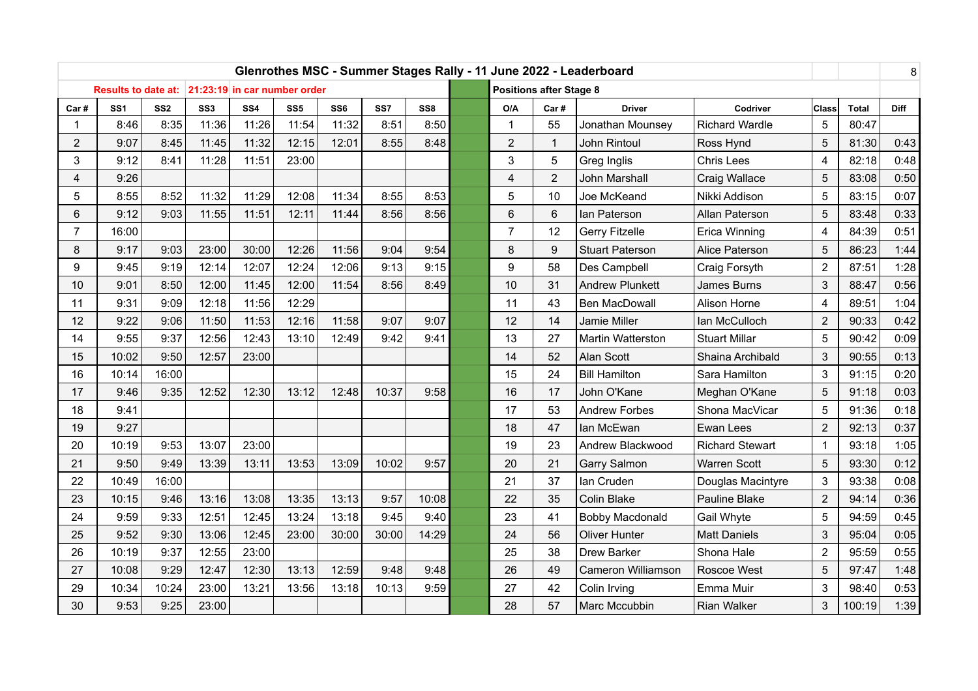|                |                 |                 |                                                  |       |                 |                 |       |                 |                |                                | Glenrothes MSC - Summer Stages Rally - 11 June 2022 - Leaderboard |                        |                         |              | 8           |
|----------------|-----------------|-----------------|--------------------------------------------------|-------|-----------------|-----------------|-------|-----------------|----------------|--------------------------------|-------------------------------------------------------------------|------------------------|-------------------------|--------------|-------------|
|                |                 |                 | Results to date at: 21:23:19 in car number order |       |                 |                 |       |                 |                | <b>Positions after Stage 8</b> |                                                                   |                        |                         |              |             |
| Car#           | SS <sub>1</sub> | SS <sub>2</sub> | SS <sub>3</sub>                                  | SS4   | SS <sub>5</sub> | SS <sub>6</sub> | SS7   | SS <sub>8</sub> | O/A            | Car#                           | <b>Driver</b>                                                     | Codriver               | <b>Class</b>            | <b>Total</b> | <b>Diff</b> |
| 1              | 8:46            | 8:35            | 11:36                                            | 11:26 | 11:54           | 11:32           | 8:51  | 8:50            | $\mathbf{1}$   | 55                             | Jonathan Mounsey                                                  | Richard Wardle         | 5                       | 80:47        |             |
| $\overline{2}$ | 9:07            | 8:45            | 11:45                                            | 11:32 | 12:15           | 12:01           | 8:55  | 8:48            | $\overline{2}$ | $\mathbf{1}$                   | John Rintoul                                                      | Ross Hynd              | 5                       | 81:30        | 0:43        |
| 3              | 9:12            | 8:41            | 11:28                                            | 11:51 | 23:00           |                 |       |                 | 3              | 5                              | Greg Inglis                                                       | <b>Chris Lees</b>      | 4                       | 82:18        | 0:48        |
| 4              | 9:26            |                 |                                                  |       |                 |                 |       |                 | 4              | $\overline{2}$                 | John Marshall                                                     | Craig Wallace          | 5                       | 83:08        | 0:50        |
| 5              | 8:55            | 8:52            | 11:32                                            | 11:29 | 12:08           | 11:34           | 8:55  | 8:53            | 5              | 10                             | Joe McKeand                                                       | Nikki Addison          | 5                       | 83:15        | 0:07        |
| 6              | 9:12            | 9:03            | 11:55                                            | 11:51 | 12:11           | 11:44           | 8:56  | 8:56            | 6              | 6                              | lan Paterson                                                      | Allan Paterson         | 5                       | 83:48        | 0:33        |
| $\overline{7}$ | 16:00           |                 |                                                  |       |                 |                 |       |                 | $\overline{7}$ | 4                              | 84:39                                                             | 0:51                   |                         |              |             |
| 8              | 9:17            | 9:03            | 23:00                                            | 30:00 | 12:26           | 11:56           | 9:04  | 9:54            | 8              | 9                              | <b>Stuart Paterson</b>                                            | Alice Paterson         | 5                       | 86:23        | 1:44        |
| 9              | 9:45            | 9:19            | 12:14                                            | 12:07 | 12:24           | 12:06           | 9:13  | 9:15            | 9              | 58                             | Des Campbell                                                      | Craig Forsyth          | $\overline{2}$          | 87:51        | 1:28        |
| 10             | 9:01            | 8:50            | 12:00                                            | 11:45 | 12:00           | 11:54           | 8:56  | 8:49            | 10             | 31                             | <b>Andrew Plunkett</b>                                            | James Burns            | 3                       | 88:47        | 0:56        |
| 11             | 9:31            | 9:09            | 12:18                                            | 11:56 | 12:29           |                 |       |                 | 11             | 43                             | <b>Ben MacDowall</b>                                              | Alison Horne           | $\overline{\mathbf{4}}$ | 89:51        | 1:04        |
| 12             | 9:22            | 9:06            | 11:50                                            | 11:53 | 12:16           | 11:58           | 9:07  | 9:07            | 12             | 14                             | Jamie Miller                                                      | Ian McCulloch          | $\overline{2}$          | 90:33        | 0:42        |
| 14             | 9:55            | 9:37            | 12:56                                            | 12:43 | 13:10           | 12:49           | 9:42  | 9:41            | 13             | 27                             | Martin Watterston                                                 | <b>Stuart Millar</b>   | 5                       | 90:42        | 0:09        |
| 15             | 10:02           | 9:50            | 12:57                                            | 23:00 |                 |                 |       |                 | 14             | 52                             | Alan Scott                                                        | Shaina Archibald       | 3                       | 90:55        | 0:13        |
| 16             | 10:14           | 16:00           |                                                  |       |                 |                 |       |                 | 15             | 24                             | <b>Bill Hamilton</b>                                              | Sara Hamilton          | 3                       | 91:15        | 0:20        |
| 17             | 9:46            | 9:35            | 12:52                                            | 12:30 | 13:12           | 12:48           | 10:37 | 9:58            | 16             | 17                             | John O'Kane                                                       | Meghan O'Kane          | 5                       | 91:18        | 0:03        |
| 18             | 9:41            |                 |                                                  |       |                 |                 |       |                 | 17             | 53                             | <b>Andrew Forbes</b>                                              | Shona MacVicar         | 5                       | 91:36        | 0:18        |
| 19             | 9:27            |                 |                                                  |       |                 |                 |       |                 | 18             | 47                             | lan McEwan                                                        | Ewan Lees              | $\overline{2}$          | 92:13        | 0:37        |
| 20             | 10:19           | 9:53            | 13:07                                            | 23:00 |                 |                 |       |                 | 19             | 23                             | Andrew Blackwood                                                  | <b>Richard Stewart</b> | $\mathbf{1}$            | 93:18        | 1:05        |
| 21             | 9:50            | 9:49            | 13:39                                            | 13:11 | 13:53           | 13:09           | 10:02 | 9:57            | 20             | 21                             | <b>Garry Salmon</b>                                               | <b>Warren Scott</b>    | 5                       | 93:30        | 0:12        |
| 22             | 10:49           | 16:00           |                                                  |       |                 |                 |       |                 | 21             | 37                             | lan Cruden                                                        | Douglas Macintyre      | 3                       | 93:38        | 0:08        |
| 23             | 10:15           | 9:46            | 13:16                                            | 13:08 | 13:35           | 13:13           | 9:57  | 10:08           | 22             | 35                             | Colin Blake                                                       | Pauline Blake          | $\overline{2}$          | 94:14        | 0:36        |
| 24             | 9:59            | 9:33            | 12:51                                            | 12:45 | 13:24           | 13:18           | 9:45  | 9:40            | 23             | 41                             | Bobby Macdonald                                                   | Gail Whyte             | 5                       | 94:59        | 0:45        |
| 25             | 9:52            | 9:30            | 13:06                                            | 12:45 | 23:00           | 30:00           | 30:00 | 14:29           | 24             | 56                             | <b>Oliver Hunter</b>                                              | <b>Matt Daniels</b>    | 3                       | 95:04        | 0:05        |
| 26             | 10:19           | 9:37            | 12:55                                            | 23:00 |                 |                 |       |                 | 25             | 38                             | Drew Barker                                                       | Shona Hale             | $\overline{2}$          | 95:59        | 0:55        |
| 27             | 10:08           | 9:29            | 12:47                                            | 12:30 | 13:13           | 12:59           | 9:48  | 9:48            | 26             | 49                             | Cameron Williamson                                                | Roscoe West            | 5                       | 97:47        | 1:48        |
| 29             | 10:34           | 10:24           | 23:00                                            | 13:21 | 13:56           | 13:18           | 10:13 | 9:59            | 27             | 42                             | Colin Irving                                                      | Emma Muir              | 3                       | 98:40        | 0:53        |
| 30             | 9:53            | 9:25            | 23:00                                            |       |                 |                 |       |                 | 28             | 57                             | Marc Mccubbin                                                     | <b>Rian Walker</b>     | 3                       | 100:19       | 1:39        |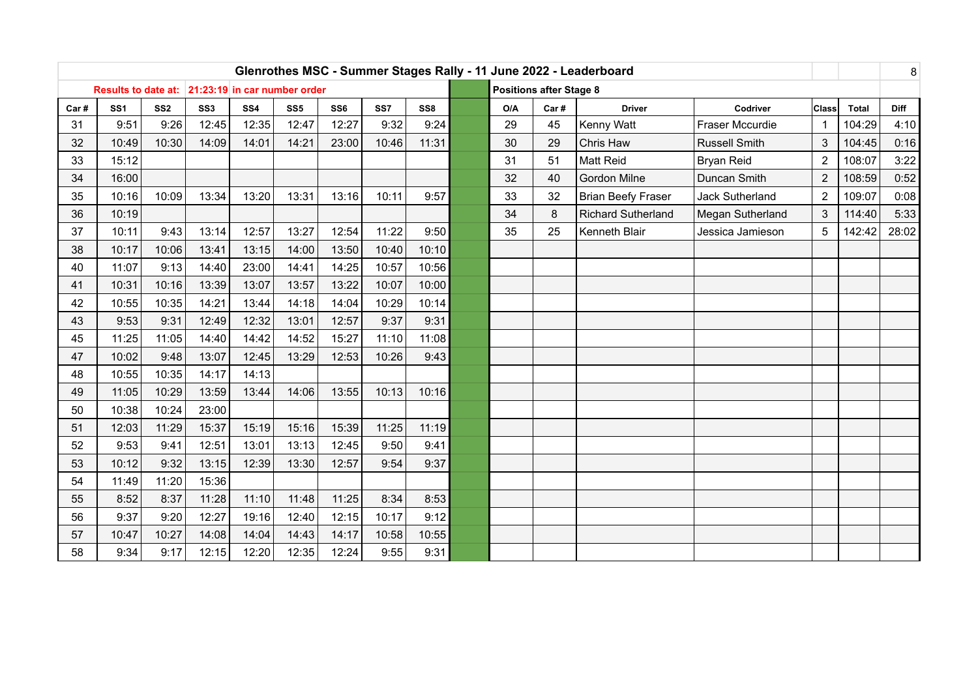|      |                                                  |                 |                 |                 |                 |                 |       |                 |     |                                | Glenrothes MSC - Summer Stages Rally - 11 June 2022 - Leaderboard |                      |                |              | 8           |
|------|--------------------------------------------------|-----------------|-----------------|-----------------|-----------------|-----------------|-------|-----------------|-----|--------------------------------|-------------------------------------------------------------------|----------------------|----------------|--------------|-------------|
|      | Results to date at: 21:23:19 in car number order |                 |                 |                 |                 |                 |       |                 |     | <b>Positions after Stage 8</b> |                                                                   |                      |                |              |             |
| Car# | SS <sub>1</sub>                                  | SS <sub>2</sub> | SS <sub>3</sub> | SS <sub>4</sub> | SS <sub>5</sub> | SS <sub>6</sub> | SS7   | SS <sub>8</sub> | O/A | Car#                           | <b>Driver</b>                                                     | Codriver             | Class          | <b>Total</b> | <b>Diff</b> |
| 31   | 9:51                                             | 9:26            | 12:45           | 12:35           | 12:47           | 12:27           | 9:32  | 9:24            | 29  | 45                             | Kenny Watt                                                        | Fraser Mccurdie      | $\mathbf{1}$   | 104:29       | 4:10        |
| 32   | 10:49                                            | 10:30           | 14:09           | 14:01           | 14:21           | 23:00           | 10:46 | 11:31           | 30  | 29                             | Chris Haw                                                         | <b>Russell Smith</b> | 3              | 104:45       | 0:16        |
| 33   | 15:12                                            |                 |                 |                 |                 |                 |       |                 | 31  | 51                             | <b>Matt Reid</b>                                                  | <b>Bryan Reid</b>    | $\overline{2}$ | 108:07       | 3:22        |
| 34   | 16:00                                            |                 |                 |                 |                 |                 |       |                 | 32  | $\overline{2}$                 | 108:59                                                            | 0:52                 |                |              |             |
| 35   | 10:16                                            | 10:09           | 13:34           | 13:20           | 13:31           | 13:16           | 10:11 | 9:57            | 33  | $\overline{2}$                 | 109:07                                                            | 0:08                 |                |              |             |
| 36   | 10:19                                            |                 |                 |                 |                 |                 |       |                 | 34  | 3                              | 114:40                                                            | 5:33                 |                |              |             |
| 37   | 10:11                                            | 9:43            | 13:14           | 12:57           | 13:27           | 12:54           | 11:22 | 9:50            | 35  | 25                             | Kenneth Blair                                                     | Jessica Jamieson     | 5              | 142:42       | 28:02       |
| 38   | 10:17                                            | 10:06           | 13:41           | 13:15           | 14:00           | 13:50           | 10:40 | 10:10           |     |                                |                                                                   |                      |                |              |             |
| 40   | 11:07                                            | 9:13            | 14:40           | 23:00           | 14:41           | 14:25           | 10:57 | 10:56           |     |                                |                                                                   |                      |                |              |             |
| 41   | 10:31                                            | 10:16           | 13:39           | 13:07           | 13:57           | 13:22           | 10:07 | 10:00           |     |                                |                                                                   |                      |                |              |             |
| 42   | 10:55                                            | 10:35           | 14:21           | 13:44           | 14:18           | 14:04           | 10:29 | 10:14           |     |                                |                                                                   |                      |                |              |             |
| 43   | 9:53                                             | 9:31            | 12:49           | 12:32           | 13:01           | 12:57           | 9:37  | 9:31            |     |                                |                                                                   |                      |                |              |             |
| 45   | 11:25                                            | 11:05           | 14:40           | 14:42           | 14:52           | 15:27           | 11:10 | 11:08           |     |                                |                                                                   |                      |                |              |             |
| 47   | 10:02                                            | 9:48            | 13:07           | 12:45           | 13:29           | 12:53           | 10:26 | 9:43            |     |                                |                                                                   |                      |                |              |             |
| 48   | 10:55                                            | 10:35           | 14:17           | 14:13           |                 |                 |       |                 |     |                                |                                                                   |                      |                |              |             |
| 49   | 11:05                                            | 10:29           | 13:59           | 13:44           | 14:06           | 13:55           | 10:13 | 10:16           |     |                                |                                                                   |                      |                |              |             |
| 50   | 10:38                                            | 10:24           | 23:00           |                 |                 |                 |       |                 |     |                                |                                                                   |                      |                |              |             |
| 51   | 12:03                                            | 11:29           | 15:37           | 15:19           | 15:16           | 15:39           | 11:25 | 11:19           |     |                                |                                                                   |                      |                |              |             |
| 52   | 9:53                                             | 9:41            | 12:51           | 13:01           | 13:13           | 12:45           | 9:50  | 9:41            |     |                                |                                                                   |                      |                |              |             |
| 53   | 10:12                                            | 9:32            | 13:15           | 12:39           | 13:30           | 12:57           | 9:54  | 9:37            |     |                                |                                                                   |                      |                |              |             |
| 54   | 11:49                                            | 11:20           | 15:36           |                 |                 |                 |       |                 |     |                                |                                                                   |                      |                |              |             |
| 55   | 8:52                                             | 8:37            | 11:28           | 11:10           | 11:48           | 11:25           | 8:34  | 8:53            |     |                                |                                                                   |                      |                |              |             |
| 56   | 9:37                                             | 9:20            | 12:27           | 19:16           | 12:40           | 12:15           | 10:17 | 9:12            |     |                                |                                                                   |                      |                |              |             |
| 57   | 10:47                                            | 10:27           | 14:08           | 14:04           | 14:43           | 14:17           | 10:58 | 10:55           |     |                                |                                                                   |                      |                |              |             |
| 58   | 9:34                                             | 9:17            | 12:15           | 12:20           | 12:35           | 12:24           | 9:55  | 9:31            |     |                                |                                                                   |                      |                |              |             |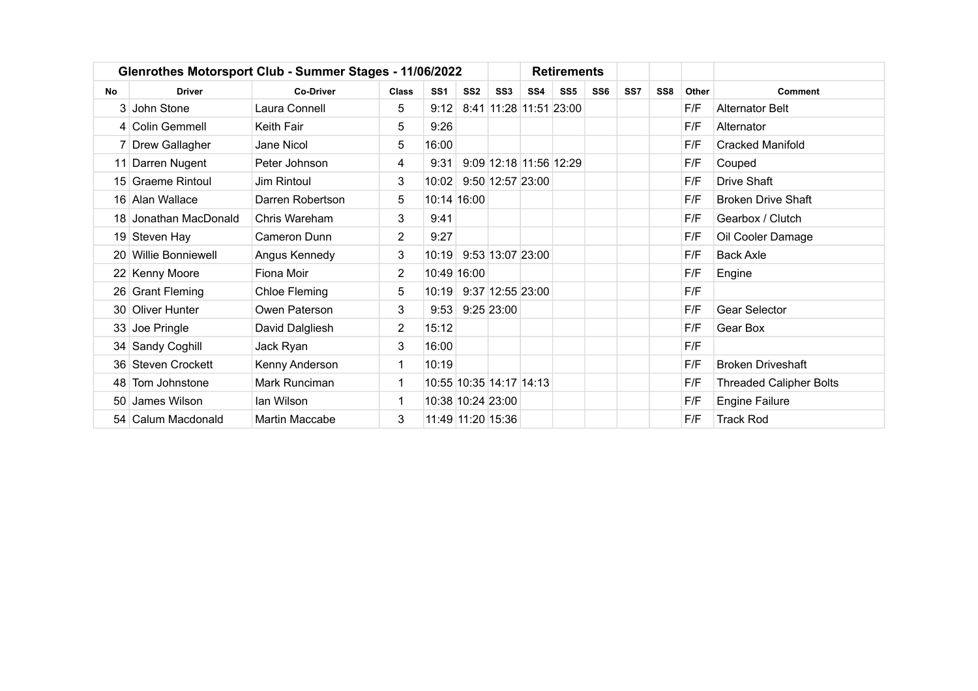|    |                       | Glenrothes Motorsport Club - Summer Stages - 11/06/2022 |                |                         |                   |                  |     | <b>Retirements</b>     |                 |     |                 |       |                                |
|----|-----------------------|---------------------------------------------------------|----------------|-------------------------|-------------------|------------------|-----|------------------------|-----------------|-----|-----------------|-------|--------------------------------|
| No | <b>Driver</b>         | <b>Co-Driver</b>                                        | Class          | SS <sub>1</sub>         | SS <sub>2</sub>   | SS <sub>3</sub>  | SS4 | SS <sub>5</sub>        | SS <sub>6</sub> | SS7 | SS <sub>8</sub> | Other | <b>Comment</b>                 |
|    | 3 John Stone          | Laura Connell                                           | 5              | 9:12                    |                   |                  |     | 8:41 11:28 11:51 23:00 |                 |     |                 | F/F   | <b>Alternator Belt</b>         |
|    | 4 Colin Gemmell       | Keith Fair                                              | 5              | 9:26                    |                   |                  |     |                        |                 |     |                 | F/F   | Alternator                     |
|    | 7 Drew Gallagher      | Jane Nicol                                              | 5              | 16:00                   |                   |                  |     |                        |                 |     |                 | F/F   | <b>Cracked Manifold</b>        |
|    | 11 Darren Nugent      | Peter Johnson                                           | 4              | 9:31                    |                   |                  |     | 9:09 12:18 11:56 12:29 |                 |     |                 | F/F   | Couped                         |
|    | 15 Graeme Rintoul     | Jim Rintoul                                             | 3              | 10:02                   |                   | 9:50 12:57 23:00 |     |                        |                 |     |                 | F/F   | <b>Drive Shaft</b>             |
|    | 16 Alan Wallace       | Darren Robertson                                        | 5              | 10:14 16:00             |                   |                  |     |                        |                 |     |                 | F/F   | <b>Broken Drive Shaft</b>      |
|    | 18 Jonathan MacDonald | Chris Wareham                                           | 3              | 9:41                    |                   |                  |     |                        |                 |     |                 | F/F   | Gearbox / Clutch               |
|    | 19 Steven Hay         | Cameron Dunn                                            | $\overline{2}$ | 9:27                    |                   |                  |     |                        |                 |     |                 | F/F   | Oil Cooler Damage              |
|    | 20 Willie Bonniewell  | Angus Kennedy                                           | 3              | 10:19                   |                   | 9:53 13:07 23:00 |     |                        |                 |     |                 | F/F   | <b>Back Axle</b>               |
|    | 22 Kenny Moore        | Fiona Moir                                              | $\overline{2}$ | 10:49 16:00             |                   |                  |     |                        |                 |     |                 | F/F   | Engine                         |
|    | 26 Grant Fleming      | Chloe Fleming                                           | 5              | 10:19                   |                   | 9:37 12:55 23:00 |     |                        |                 |     |                 | F/F   |                                |
|    | 30 Oliver Hunter      | Owen Paterson                                           | 3              | 9:53                    |                   | $9:25$ 23:00     |     |                        |                 |     |                 | F/F   | Gear Selector                  |
|    | 33 Joe Pringle        | David Dalgliesh                                         | $\overline{2}$ | 15:12                   |                   |                  |     |                        |                 |     |                 | F/F   | Gear Box                       |
|    | 34 Sandy Coghill      | Jack Ryan                                               | 3              | 16:00                   |                   |                  |     |                        |                 |     |                 | F/F   |                                |
|    | 36 Steven Crockett    | Kenny Anderson                                          | $\mathbf 1$    | 10:19                   |                   |                  |     |                        |                 |     |                 | F/F   | <b>Broken Driveshaft</b>       |
|    | 48 Tom Johnstone      | Mark Runciman                                           | 1              | 10:55 10:35 14:17 14:13 |                   |                  |     |                        |                 |     |                 | F/F   | <b>Threaded Calipher Bolts</b> |
|    | 50 James Wilson       | lan Wilson                                              | 1              |                         | 10:38 10:24 23:00 |                  |     |                        |                 |     |                 | F/F   | <b>Engine Failure</b>          |
|    | 54 Calum Macdonald    | Martin Maccabe                                          | 3              |                         | 11:49 11:20 15:36 |                  |     |                        |                 |     |                 | F/F   | <b>Track Rod</b>               |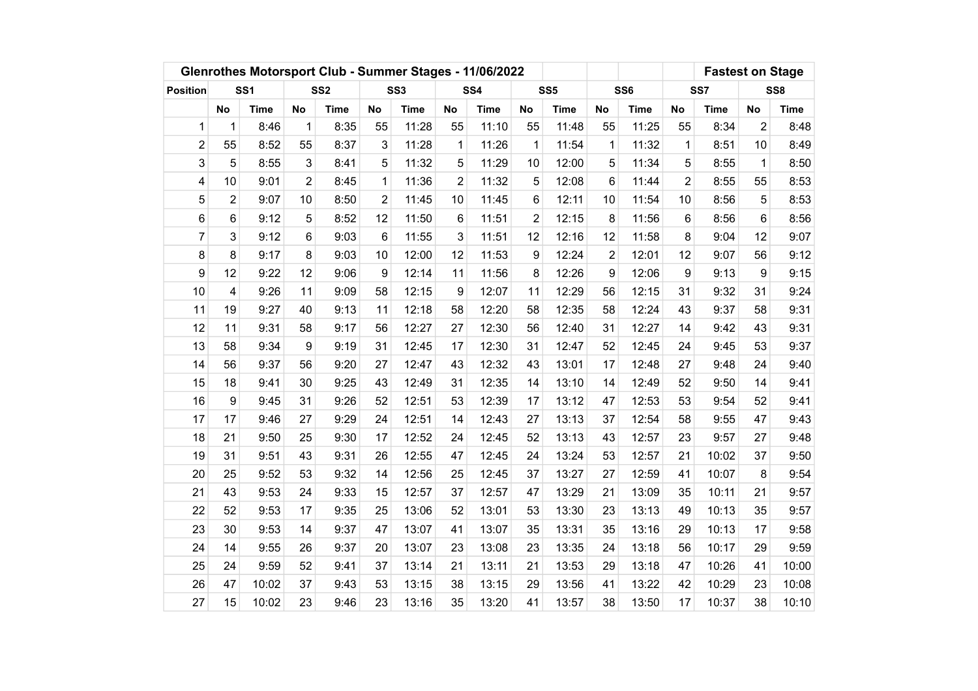|                 |                |                 |                  | Glenrothes Motorsport Club - Summer Stages - 11/06/2022 |                  |                 |                |             |             |                 |                | <b>Fastest on Stage</b> |                |             |                |             |
|-----------------|----------------|-----------------|------------------|---------------------------------------------------------|------------------|-----------------|----------------|-------------|-------------|-----------------|----------------|-------------------------|----------------|-------------|----------------|-------------|
| <b>Position</b> |                | SS <sub>1</sub> |                  | SS <sub>2</sub>                                         |                  | SS <sub>3</sub> |                | SS4         |             | SS <sub>5</sub> |                | SS <sub>6</sub>         |                | SS7         |                | SS8         |
|                 | <b>No</b>      | <b>Time</b>     | <b>No</b>        | <b>Time</b>                                             | <b>No</b>        | <b>Time</b>     | <b>No</b>      | <b>Time</b> | <b>No</b>   | <b>Time</b>     | No             | <b>Time</b>             | <b>No</b>      | <b>Time</b> | <b>No</b>      | <b>Time</b> |
| $\mathbf{1}$    | $\mathbf{1}$   | 8:46            | $\mathbf{1}$     | 8:35                                                    | 55               | 11:28           | 55             | 11:10       | 55          | 11:48           | 55             | 11:25                   | 55             | 8:34        | $\overline{2}$ | 8:48        |
| $\overline{c}$  | 55             | 8:52            | 55               | 8:37                                                    | 3                | 11:28           | 1              | 11:26       | $\mathbf 1$ | 11:54           | $\mathbf 1$    | 11:32                   | 1              | 8:51        | 10             | 8:49        |
| 3               | 5              | 8:55            | 3                | 8:41                                                    | 5                | 11:32           | 5              | 11:29       | 10          | 12:00           | 5              | 11:34                   | 5              | 8:55        | 1              | 8:50        |
| 4               | 10             | 9:01            | $\overline{2}$   | 8:45                                                    | 1                | 11:36           | $\overline{2}$ | 11:32       | 5           | 12:08           | 6              | 11:44                   | $\overline{2}$ | 8:55        | 55             | 8:53        |
| 5               | $\overline{2}$ | 9:07            | 10               | 8:50                                                    | $\overline{2}$   | 11:45           | 10             | 11:45       | 6           | 12:11           | 10             | 11:54                   | 10             | 8:56        | 5              | 8:53        |
| 6               | 6              | 9:12            | 5                | 8:52                                                    | 12               | 11:50           | 6              | 11:51       | 2           | 12:15           | 8              | 11:56                   | 6              | 8:56        | 6              | 8:56        |
| $\overline{7}$  | 3              | 9:12            | 6                | 9:03                                                    | 6                | 11:55           | 3              | 11:51       | 12          | 12:16           | 12             | 11:58                   | 8              | 9:04        | 12             | 9:07        |
| 8               | 8              | 9:17            | 8                | 9:03                                                    | 10               | 12:00           | 12             | 11:53       | 9           | 12:24           | $\overline{2}$ | 12:01                   | 12             | 9:07        | 56             | 9:12        |
| 9               | 12             | 9:22            | 12               | 9:06                                                    | $\boldsymbol{9}$ | 12:14           | 11             | 11:56       | 8           | 12:26           | 9              | 12:06                   | 9              | 9:13        | 9              | 9:15        |
| 10              | 4              | 9:26            | 11               | 9:09                                                    | 58               | 12:15           | 9              | 12:07       | 11          | 12:29           | 56             | 12:15                   | 31             | 9:32        | 31             | 9:24        |
| 11              | 19             | 9:27            | 40               | 9:13                                                    | 11               | 12:18           | 58             | 12:20       | 58          | 12:35           | 58             | 12:24                   | 43             | 9:37        | 58             | 9:31        |
| 12              | 11             | 9:31            | 58               | 9:17                                                    | 56               | 12:27           | 27             | 12:30       | 56          | 12:40           | 31             | 12:27                   | 14             | 9:42        | 43             | 9:31        |
| 13              | 58             | 9:34            | $\boldsymbol{9}$ | 9:19                                                    | 31               | 12:45           | 17             | 12:30       | 31          | 12:47           | 52             | 12:45                   | 24             | 9:45        | 53             | 9:37        |
| 14              | 56             | 9:37            | 56               | 9:20                                                    | 27               | 12:47           | 43             | 12:32       | 43          | 13:01           | 17             | 12:48                   | 27             | 9:48        | 24             | 9:40        |
| 15              | 18             | 9:41            | 30               | 9:25                                                    | 43               | 12:49           | 31             | 12:35       | 14          | 13:10           | 14             | 12:49                   | 52             | 9:50        | 14             | 9:41        |
| 16              | 9              | 9:45            | 31               | 9:26                                                    | 52               | 12:51           | 53             | 12:39       | 17          | 13:12           | 47             | 12:53                   | 53             | 9:54        | 52             | 9:41        |
| 17              | 17             | 9:46            | 27               | 9:29                                                    | 24               | 12:51           | 14             | 12:43       | 27          | 13:13           | 37             | 12:54                   | 58             | 9:55        | 47             | 9:43        |
| 18              | 21             | 9:50            | 25               | 9:30                                                    | 17               | 12:52           | 24             | 12:45       | 52          | 13:13           | 43             | 12:57                   | 23             | 9:57        | 27             | 9:48        |
| 19              | 31             | 9:51            | 43               | 9:31                                                    | 26               | 12:55           | 47             | 12:45       | 24          | 13:24           | 53             | 12:57                   | 21             | 10:02       | 37             | 9:50        |
| 20              | 25             | 9:52            | 53               | 9:32                                                    | 14               | 12:56           | 25             | 12:45       | 37          | 13:27           | 27             | 12:59                   | 41             | 10:07       | 8              | 9:54        |
| 21              | 43             | 9:53            | 24               | 9:33                                                    | 15               | 12:57           | 37             | 12:57       | 47          | 13:29           | 21             | 13:09                   | 35             | 10:11       | 21             | 9:57        |
| 22              | 52             | 9:53            | 17               | 9:35                                                    | 25               | 13:06           | 52             | 13:01       | 53          | 13:30           | 23             | 13:13                   | 49             | 10:13       | 35             | 9:57        |
| 23              | 30             | 9:53            | 14               | 9:37                                                    | 47               | 13:07           | 41             | 13:07       | 35          | 13:31           | 35             | 13:16                   | 29             | 10:13       | 17             | 9:58        |
| 24              | 14             | 9:55            | 26               | 9:37                                                    | 20               | 13:07           | 23             | 13:08       | 23          | 13:35           | 24             | 13:18                   | 56             | 10:17       | 29             | 9:59        |
| 25              | 24             | 9:59            | 52               | 9:41                                                    | 37               | 13:14           | 21             | 13:11       | 21          | 13:53           | 29             | 13:18                   | 47             | 10:26       | 41             | 10:00       |
| 26              | 47             | 10:02           | 37               | 9:43                                                    | 53               | 13:15           | 38             | 13:15       | 29          | 13:56           | 41             | 13:22                   | 42             | 10:29       | 23             | 10:08       |
| 27              | 15             | 10:02           | 23               | 9:46                                                    | 23               | 13:16           | 35             | 13:20       | 41          | 13:57           | 38             | 13:50                   | 17             | 10:37       | 38             | 10:10       |